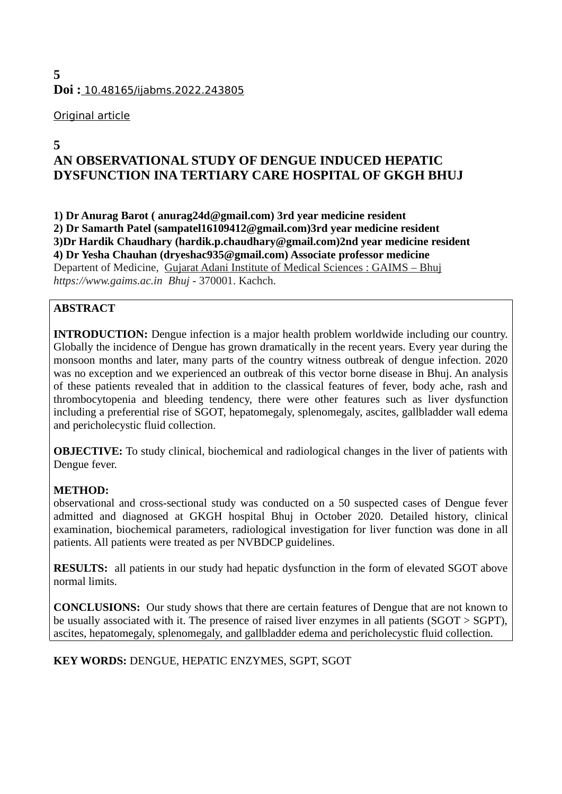# **5 Doi :** 10.48165/ijabms.2022.243805

# Original article

# **5**

# **AN OBSERVATIONAL STUDY OF DENGUE INDUCED HEPATIC DYSFUNCTION INA TERTIARY CARE HOSPITAL OF GKGH BHUJ**

**1) Dr Anurag Barot ( anurag24d@gmail.com) 3rd year medicine resident 2) Dr Samarth Patel (sampatel16109412@gmail.com)3rd year medicine resident 3)Dr Hardik Chaudhary (hardik.p.chaudhary@gmail.com)2nd year medicine resident 4) Dr Yesha Chauhan (dryeshac935@gmail.com) Associate professor medicine** Departent of Medicine, [Gujarat Adani Institute of Medical Sciences : GAIMS – Bhuj](https://www.gaims.ac.in/) *[https://www.gaims.ac.in](https://www.gaims.ac.in/) Bhuj* - 370001. Kachch.

# **ABSTRACT**

**INTRODUCTION:** Dengue infection is a major health problem worldwide including our country. Globally the incidence of Dengue has grown dramatically in the recent years. Every year during the monsoon months and later, many parts of the country witness outbreak of dengue infection. 2020 was no exception and we experienced an outbreak of this vector borne disease in Bhuj. An analysis of these patients revealed that in addition to the classical features of fever, body ache, rash and thrombocytopenia and bleeding tendency, there were other features such as liver dysfunction including a preferential rise of SGOT, hepatomegaly, splenomegaly, ascites, gallbladder wall edema and pericholecystic fluid collection.

**OBJECTIVE:** To study clinical, biochemical and radiological changes in the liver of patients with Dengue fever.

# **METHOD:**

observational and cross-sectional study was conducted on a 50 suspected cases of Dengue fever admitted and diagnosed at GKGH hospital Bhuj in October 2020. Detailed history, clinical examination, biochemical parameters, radiological investigation for liver function was done in all patients. All patients were treated as per NVBDCP guidelines.

**RESULTS:** all patients in our study had hepatic dysfunction in the form of elevated SGOT above normal limits.

**CONCLUSIONS:** Our study shows that there are certain features of Dengue that are not known to be usually associated with it. The presence of raised liver enzymes in all patients (SGOT > SGPT), ascites, hepatomegaly, splenomegaly, and gallbladder edema and pericholecystic fluid collection.

**KEY WORDS:** DENGUE, HEPATIC ENZYMES, SGPT, SGOT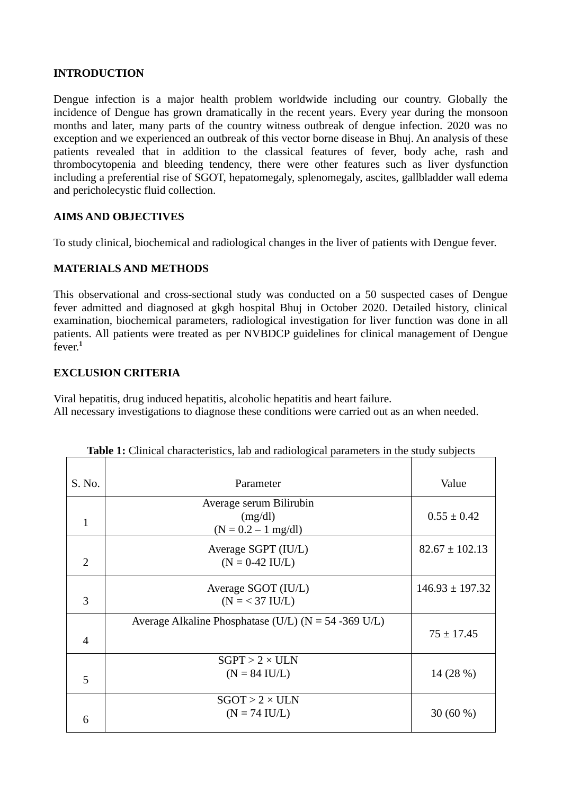## **INTRODUCTION**

Dengue infection is a major health problem worldwide including our country. Globally the incidence of Dengue has grown dramatically in the recent years. Every year during the monsoon months and later, many parts of the country witness outbreak of dengue infection. 2020 was no exception and we experienced an outbreak of this vector borne disease in Bhuj. An analysis of these patients revealed that in addition to the classical features of fever, body ache, rash and thrombocytopenia and bleeding tendency, there were other features such as liver dysfunction including a preferential rise of SGOT, hepatomegaly, splenomegaly, ascites, gallbladder wall edema and pericholecystic fluid collection.

#### **AIMS AND OBJECTIVES**

To study clinical, biochemical and radiological changes in the liver of patients with Dengue fever.

#### **MATERIALS AND METHODS**

This observational and cross-sectional study was conducted on a 50 suspected cases of Dengue fever admitted and diagnosed at gkgh hospital Bhuj in October 2020. Detailed history, clinical examination, biochemical parameters, radiological investigation for liver function was done in all patients. All patients were treated as per NVBDCP guidelines for clinical management of Dengue fever.**<sup>1</sup>**

## **EXCLUSION CRITERIA**

Viral hepatitis, drug induced hepatitis, alcoholic hepatitis and heart failure. All necessary investigations to diagnose these conditions were carried out as an when needed.

| S. No.         | Parameter                                                | Value               |
|----------------|----------------------------------------------------------|---------------------|
|                |                                                          |                     |
|                | Average serum Bilirubin                                  |                     |
| 1              | (mg/dl)                                                  | $0.55 \pm 0.42$     |
|                | $(N = 0.2 - 1$ mg/dl)                                    |                     |
|                | Average SGPT (IU/L)                                      | $82.67 \pm 102.13$  |
| $\overline{2}$ | $(N = 0-42$ IU/L)                                        |                     |
|                | Average SGOT (IU/L)                                      | $146.93 \pm 197.32$ |
| 3              | $(N = 37$ IU/L)                                          |                     |
|                | Average Alkaline Phosphatase (U/L) ( $N = 54 - 369$ U/L) |                     |
| $\overline{4}$ |                                                          | $75 \pm 17.45$      |
|                |                                                          |                     |
|                | $SGPT > 2 \times ULN$                                    |                     |
| 5              | $(N = 84$ IU/L)                                          | 14 (28 %)           |
|                |                                                          |                     |
|                | $SGOT > 2 \times ULN$                                    |                     |
| 6              | $(N = 74$ IU/L)                                          | 30 $(60\%)$         |
|                |                                                          |                     |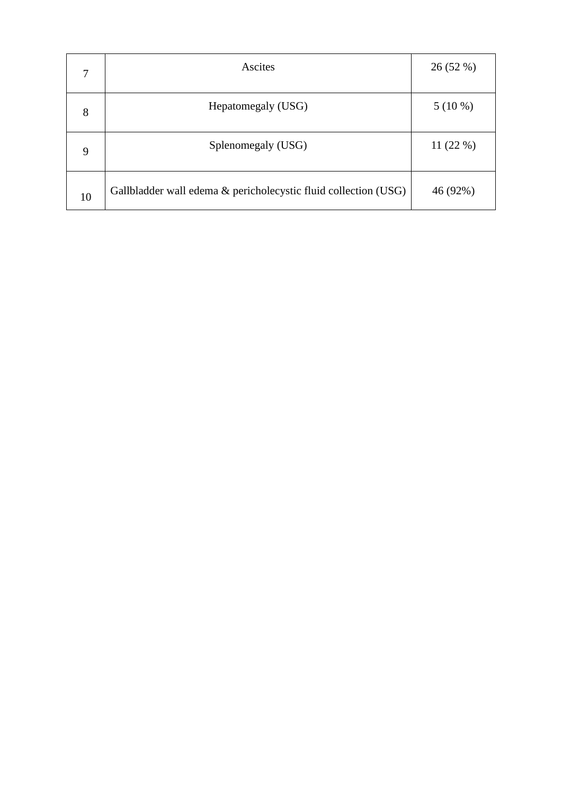| 7  | <b>Ascites</b>                                                  | 26 (52 %) |
|----|-----------------------------------------------------------------|-----------|
| 8  | Hepatomegaly (USG)                                              | $5(10\%)$ |
| 9  | Splenomegaly (USG)                                              | 11 (22 %) |
| 10 | Gallbladder wall edema & pericholecystic fluid collection (USG) | 46 (92%)  |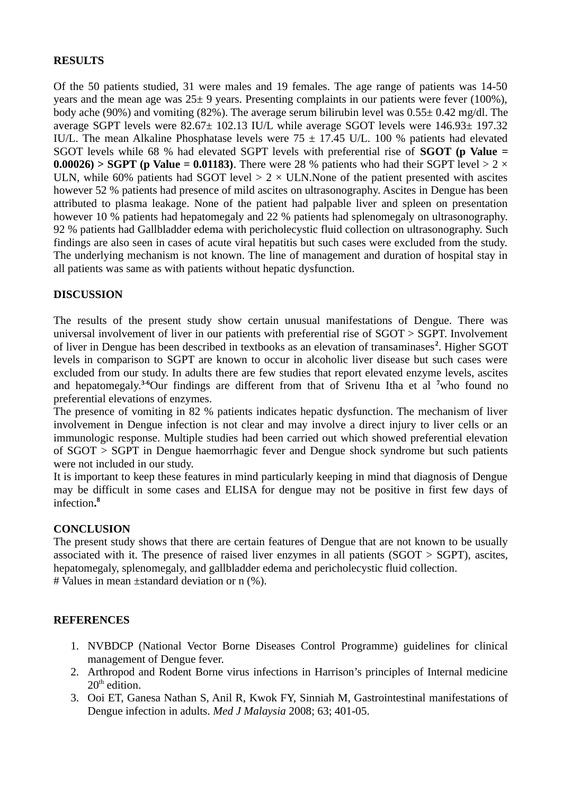## **RESULTS**

Of the 50 patients studied, 31 were males and 19 females. The age range of patients was 14-50 years and the mean age was 25± 9 years. Presenting complaints in our patients were fever (100%), body ache (90%) and vomiting (82%). The average serum bilirubin level was 0.55± 0.42 mg/dl. The average SGPT levels were 82.67± 102.13 IU/L while average SGOT levels were 146.93± 197.32 IU/L. The mean Alkaline Phosphatase levels were  $75 \pm 17.45$  U/L. 100 % patients had elevated SGOT levels while 68 % had elevated SGPT levels with preferential rise of **SGOT (p Value = 0.00026) > SGPT (p Value = 0.01183)**. There were 28 % patients who had their SGPT level > 2  $\times$ ULN, while 60% patients had SGOT level  $> 2 \times$  ULN. None of the patient presented with ascites however 52 % patients had presence of mild ascites on ultrasonography. Ascites in Dengue has been attributed to plasma leakage. None of the patient had palpable liver and spleen on presentation however 10 % patients had hepatomegaly and 22 % patients had splenomegaly on ultrasonography. 92 % patients had Gallbladder edema with pericholecystic fluid collection on ultrasonography. Such findings are also seen in cases of acute viral hepatitis but such cases were excluded from the study. The underlying mechanism is not known. The line of management and duration of hospital stay in all patients was same as with patients without hepatic dysfunction.

## **DISCUSSION**

The results of the present study show certain unusual manifestations of Dengue. There was universal involvement of liver in our patients with preferential rise of SGOT > SGPT. Involvement of liver in Dengue has been described in textbooks as an elevation of transaminases<sup>2</sup>. Higher SGOT levels in comparison to SGPT are known to occur in alcoholic liver disease but such cases were excluded from our study. In adults there are few studies that report elevated enzyme levels, ascites and hepatomegaly.**3-6**Our findings are different from that of Srivenu Itha et al **<sup>7</sup>**who found no preferential elevations of enzymes.

The presence of vomiting in 82 % patients indicates hepatic dysfunction. The mechanism of liver involvement in Dengue infection is not clear and may involve a direct injury to liver cells or an immunologic response. Multiple studies had been carried out which showed preferential elevation of SGOT > SGPT in Dengue haemorrhagic fever and Dengue shock syndrome but such patients were not included in our study.

It is important to keep these features in mind particularly keeping in mind that diagnosis of Dengue may be difficult in some cases and ELISA for dengue may not be positive in first few days of infection**. 8**

#### **CONCLUSION**

The present study shows that there are certain features of Dengue that are not known to be usually associated with it. The presence of raised liver enzymes in all patients ( $SGOT > SGPT$ ), ascites, hepatomegaly, splenomegaly, and gallbladder edema and pericholecystic fluid collection. # Values in mean ±standard deviation or n (%).

#### **REFERENCES**

- 1. NVBDCP (National Vector Borne Diseases Control Programme) guidelines for clinical management of Dengue fever.
- 2. Arthropod and Rodent Borne virus infections in Harrison's principles of Internal medicine  $20<sup>th</sup>$  edition.
- 3. Ooi ET, Ganesa Nathan S, Anil R, Kwok FY, Sinniah M, Gastrointestinal manifestations of Dengue infection in adults. *Med J Malaysia* 2008; 63; 401-05.